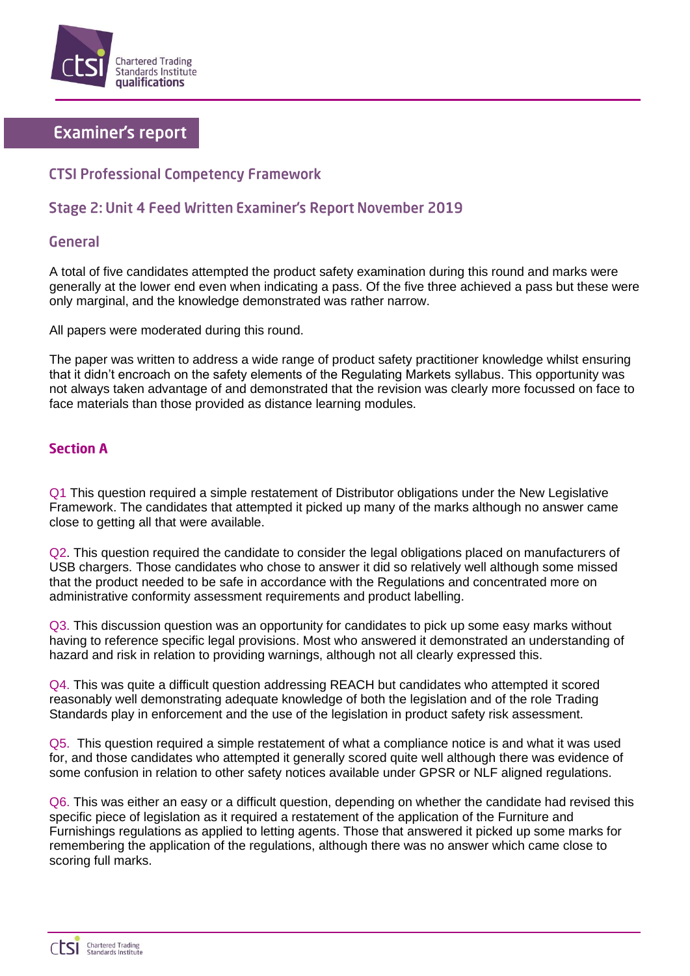

# **Examiner's report**

# **CTSI Professional Competency Framework**

## Stage 2: Unit 4 Feed Written Examiner's Report November 2019

#### General

A total of five candidates attempted the product safety examination during this round and marks were generally at the lower end even when indicating a pass. Of the five three achieved a pass but these were only marginal, and the knowledge demonstrated was rather narrow.

All papers were moderated during this round.

The paper was written to address a wide range of product safety practitioner knowledge whilst ensuring that it didn't encroach on the safety elements of the Regulating Markets syllabus. This opportunity was not always taken advantage of and demonstrated that the revision was clearly more focussed on face to face materials than those provided as distance learning modules.

#### **Section A**

Q1 This question required a simple restatement of Distributor obligations under the New Legislative Framework. The candidates that attempted it picked up many of the marks although no answer came close to getting all that were available.

Q2. This question required the candidate to consider the legal obligations placed on manufacturers of USB chargers. Those candidates who chose to answer it did so relatively well although some missed that the product needed to be safe in accordance with the Regulations and concentrated more on administrative conformity assessment requirements and product labelling.

Q3. This discussion question was an opportunity for candidates to pick up some easy marks without having to reference specific legal provisions. Most who answered it demonstrated an understanding of hazard and risk in relation to providing warnings, although not all clearly expressed this.

Q4. This was quite a difficult question addressing REACH but candidates who attempted it scored reasonably well demonstrating adequate knowledge of both the legislation and of the role Trading Standards play in enforcement and the use of the legislation in product safety risk assessment.

Q5. This question required a simple restatement of what a compliance notice is and what it was used for, and those candidates who attempted it generally scored quite well although there was evidence of some confusion in relation to other safety notices available under GPSR or NLF aligned regulations.

Q6. This was either an easy or a difficult question, depending on whether the candidate had revised this specific piece of legislation as it required a restatement of the application of the Furniture and Furnishings regulations as applied to letting agents. Those that answered it picked up some marks for remembering the application of the regulations, although there was no answer which came close to scoring full marks.